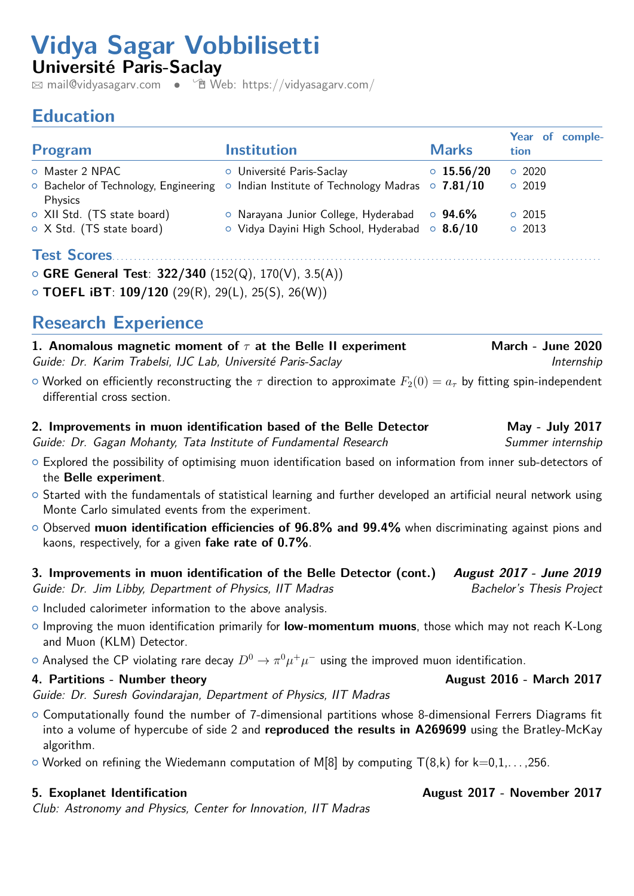# **Vidya Sagar Vobbilisetti**

**Université Paris-Saclay**

 $\boxtimes$  [mail@vidyasagarv.com](mailto:mail@vidyasagarv.com) •  $\textcircled{\textsf{m}}$  [Web: https://vidyasagarv.com/](http://Web: https://vidyasagarv.com/)

## **Education**

| Program                                                                      | <b>Institution</b>                                                                        | <b>Marks</b>     | Year of comple-<br>tion |
|------------------------------------------------------------------------------|-------------------------------------------------------------------------------------------|------------------|-------------------------|
| O Master 2 NPAC                                                              | o Université Paris-Saclay                                                                 | $\circ$ 15.56/20 | 0.2020                  |
| Physics                                                                      | $\circ$ Bachelor of Technology, Engineering $\circ$ Indian Institute of Technology Madras | $\circ$ 7.81/10  | 0.2019                  |
| O XII Std. (TS state board)                                                  | O Narayana Junior College, Hyderabad                                                      | $\circ$ 94.6%    | $\circ$ 2015            |
| ○ X Std. (TS state board)                                                    | $\circ$ Vidya Dayini High School, Hyderabad $\circ$ 8.6/10                                |                  | 02013                   |
| <b>Test Scores</b><br>○ GRE General Test: $322/340$ (152(Q), 170(V), 3.5(A)) |                                                                                           |                  |                         |

{ **TOEFL iBT**: **109/120** (29(R), 29(L), 25(S), 26(W))

## **Research Experience**

**1. Anomalous magnetic moment of** *τ* at the Belle II experiment March - June 2020 Guide: Dr. Karim Trabelsi, IJC Lab, Université Paris-Saclay **Internship** 

- $\circ$  Worked on efficiently reconstructing the  $\tau$  direction to approximate  $F_2(0) = a_\tau$  by fitting spin-independent differential cross section.
- **2. Improvements in muon identification based of the Belle Detector May July 2017**

Guide: Dr. Gagan Mohanty, Tata Institute of Fundamental Research Summer internship

- o Explored the possibility of optimising muon identification based on information from inner sub-detectors of the **Belle experiment**.
- o Started with the fundamentals of statistical learning and further developed an artificial neural network using Monte Carlo simulated events from the experiment.
- { Observed **muon identification efficiencies of 96.8% and 99.4%** when discriminating against pions and kaons, respectively, for a given **fake rate of 0.7%**.
- **3. Improvements in muon identification of the Belle Detector (cont.) August 2017 June 2019** Guide: Dr. Jim Libby, Department of Physics, IIT Madras Bachelor's Thesis Project
- $\circ$  Included calorimeter information to the above analysis.
- { Improving the muon identification primarily for **low-momentum muons**, those which may not reach K-Long and Muon (KLM) Detector.
- $\circ$  Analysed the CP violating rare decay  $D^0 \to \pi^0 \mu^+ \mu^-$  using the improved muon identification.

## **4. Partitions - Number theory Community Community August 2016 - March 2017**

Guide: Dr. Suresh Govindarajan, Department of Physics, IIT Madras

- { Computationally found the number of 7-dimensional partitions whose 8-dimensional Ferrers Diagrams fit into a volume of hypercube of side 2 and **reproduced the results in A269699** using the Bratley-McKay algorithm.
- $\circ$  Worked on refining the Wiedemann computation of M[8] by computing T(8,k) for k=0,1,...,256.

Club: Astronomy and Physics, Center for Innovation, IIT Madras

## **5. Exoplanet Identification**  August 2017 - November 2017